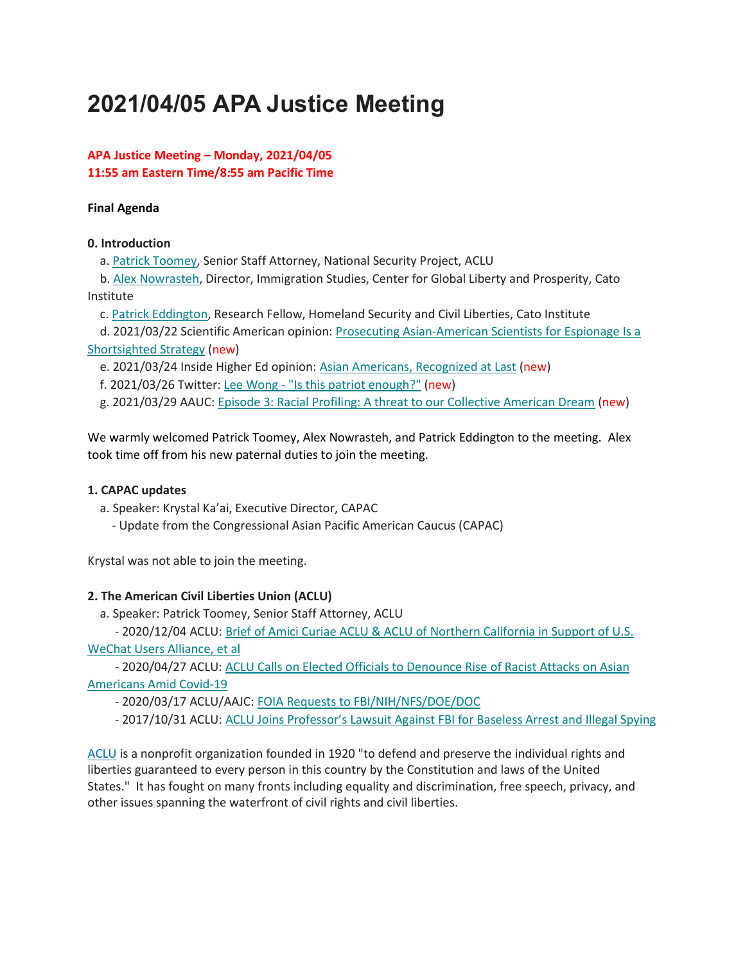# **2021/04/05 APA Justice Meeting**

# **APA Justice Meeting – Monday, 2021/04/05 11:55 am Eastern Time/8:55 am Pacific Time**

#### **Final Agenda**

#### **0. Introduction**

a. [Patrick Toomey,](http://bit.ly/3vkjwuS) Senior Staff Attorney, National Security Project, ACLU

b. [Alex Nowrasteh,](http://bit.ly/38yVT8a) Director, Immigration Studies, Center for Global Liberty and Prosperity, Cato Institute

c. [Patrick Eddington,](http://bit.ly/3cmzzzO) Research Fellow, Homeland Security and Civil Liberties, Cato Institute

d. 2021/03/22 Scientific American opinion: [Prosecuting Asian-American Scientists for Espionage Is a](https://t.co/6FIBxFRGuo)  [Shortsighted Strategy](https://t.co/6FIBxFRGuo) (new)

e. 2021/03/24 Inside Higher Ed opinion: [Asian Americans, Recognized at Last](https://t.co/5GPRQPM4GX?amp=1) (new)

f. 2021/03/26 Twitter: Lee Wong - ["Is this patriot enough?"](https://bit.ly/3fkcJM8) (new)

g. 2021/03/29 AAUC: [Episode 3: Racial Profiling: A threat to our Collective American Dream](https://bit.ly/31torMr) (new)

We warmly welcomed Patrick Toomey, Alex Nowrasteh, and Patrick Eddington to the meeting. Alex took time off from his new paternal duties to join the meeting.

#### **1. CAPAC updates**

a. Speaker: Krystal Ka'ai, Executive Director, CAPAC

- Update from the Congressional Asian Pacific American Caucus (CAPAC)

Krystal was not able to join the meeting.

#### **2. The American Civil Liberties Union (ACLU)**

a. Speaker: Patrick Toomey, Senior Staff Attorney, ACLU

- 2020/12/04 ACLU: [Brief of Amici Curiae ACLU & ACLU of Northern California in Support of U.S.](http://bit.ly/3tqHhQt)  [WeChat Users Alliance, et al](http://bit.ly/3tqHhQt)

- 2020/04/27 ACLU: [ACLU Calls on Elected Officials to Denounce Rise of Racist Attacks on Asian](http://bit.ly/38IapdL)  [Americans Amid Covid-19](http://bit.ly/38IapdL)

- 2020/03/17 ACLU/AAJC: [FOIA Requests to FBI/NIH/NFS/DOE/DOC](https://bit.ly/3eRHdVV)

- 2017/10/31 ACLU: ACLU Joins Professor's La[wsuit Against FBI for Baseless Arrest and Illegal Spying](https://bit.ly/2NN5GA1)

[ACLU](https://www.aclu.org/) is a nonprofit organization founded in 1920 "to defend and preserve the individual rights and liberties guaranteed to every person in this country by the Constitution and laws of the United States." It has fought on many fronts including equality and discrimination, free speech, privacy, and other issues spanning the waterfront of civil rights and civil liberties.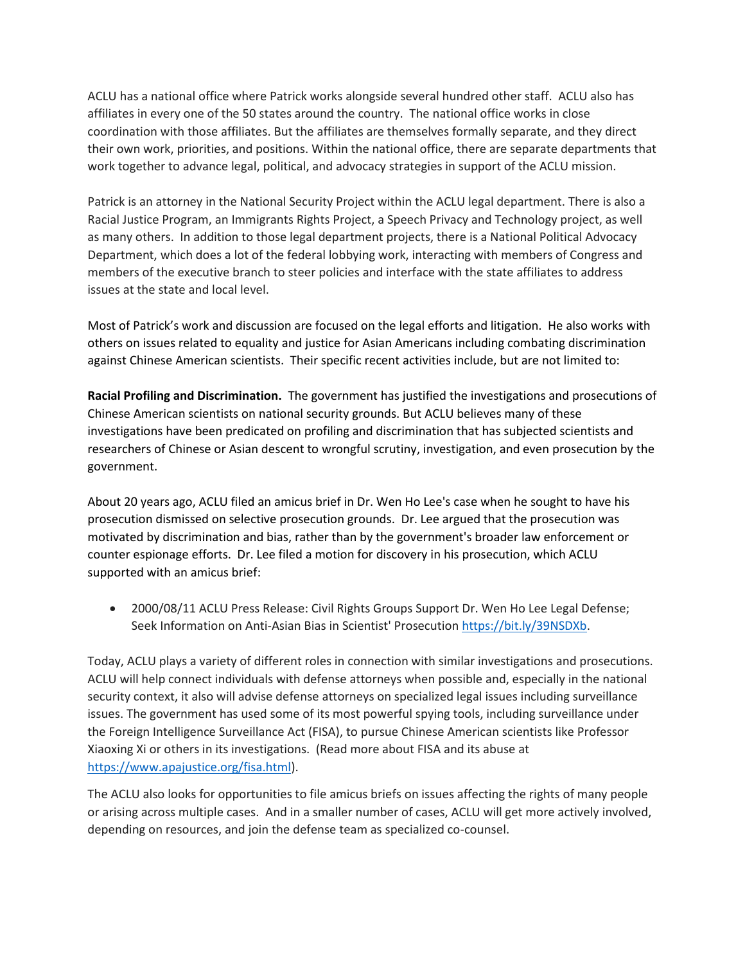ACLU has a national office where Patrick works alongside several hundred other staff. ACLU also has affiliates in every one of the 50 states around the country. The national office works in close coordination with those affiliates. But the affiliates are themselves formally separate, and they direct their own work, priorities, and positions. Within the national office, there are separate departments that work together to advance legal, political, and advocacy strategies in support of the ACLU mission.

Patrick is an attorney in the National Security Project within the ACLU legal department. There is also a Racial Justice Program, an Immigrants Rights Project, a Speech Privacy and Technology project, as well as many others. In addition to those legal department projects, there is a National Political Advocacy Department, which does a lot of the federal lobbying work, interacting with members of Congress and members of the executive branch to steer policies and interface with the state affiliates to address issues at the state and local level.

Most of Patrick's work and discussion are focused on the legal efforts and litigation. He also works with others on issues related to equality and justice for Asian Americans including combating discrimination against Chinese American scientists. Their specific recent activities include, but are not limited to:

**Racial Profiling and Discrimination.** The government has justified the investigations and prosecutions of Chinese American scientists on national security grounds. But ACLU believes many of these investigations have been predicated on profiling and discrimination that has subjected scientists and researchers of Chinese or Asian descent to wrongful scrutiny, investigation, and even prosecution by the government.

About 20 years ago, ACLU filed an amicus brief in Dr. Wen Ho Lee's case when he sought to have his prosecution dismissed on selective prosecution grounds. Dr. Lee argued that the prosecution was motivated by discrimination and bias, rather than by the government's broader law enforcement or counter espionage efforts. Dr. Lee filed a motion for discovery in his prosecution, which ACLU supported with an amicus brief:

• 2000/08/11 ACLU Press Release: Civil Rights Groups Support Dr. Wen Ho Lee Legal Defense; Seek Information on Anti-Asian Bias in Scientist' Prosecutio[n https://bit.ly/39NSDXb.](https://bit.ly/39NSDXb)

Today, ACLU plays a variety of different roles in connection with similar investigations and prosecutions. ACLU will help connect individuals with defense attorneys when possible and, especially in the national security context, it also will advise defense attorneys on specialized legal issues including surveillance issues. The government has used some of its most powerful spying tools, including surveillance under the Foreign Intelligence Surveillance Act (FISA), to pursue Chinese American scientists like Professor Xiaoxing Xi or others in its investigations. (Read more about FISA and its abuse at [https://www.apajustice.org/fisa.html\)](https://www.apajustice.org/fisa.html).

The ACLU also looks for opportunities to file amicus briefs on issues affecting the rights of many people or arising across multiple cases. And in a smaller number of cases, ACLU will get more actively involved, depending on resources, and join the defense team as specialized co-counsel.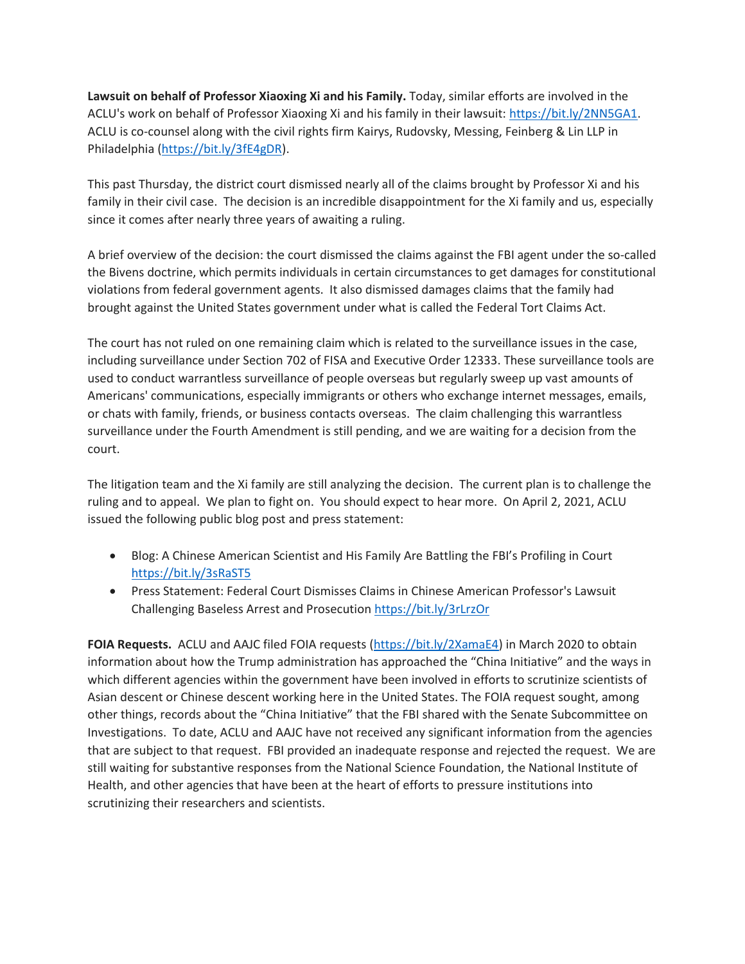**Lawsuit on behalf of Professor Xiaoxing Xi and his Family.** Today, similar efforts are involved in the ACLU's work on behalf of Professor Xiaoxing Xi and his family in their lawsuit[: https://bit.ly/2NN5GA1.](https://bit.ly/2NN5GA1) ACLU is co-counsel along with the civil rights firm Kairys, Rudovsky, Messing, Feinberg & Lin LLP in Philadelphia [\(https://bit.ly/3fE4gDR\)](https://bit.ly/3fE4gDR).

This past Thursday, the district court dismissed nearly all of the claims brought by Professor Xi and his family in their civil case. The decision is an incredible disappointment for the Xi family and us, especially since it comes after nearly three years of awaiting a ruling.

A brief overview of the decision: the court dismissed the claims against the FBI agent under the so-called the Bivens doctrine, which permits individuals in certain circumstances to get damages for constitutional violations from federal government agents. It also dismissed damages claims that the family had brought against the United States government under what is called the Federal Tort Claims Act.

The court has not ruled on one remaining claim which is related to the surveillance issues in the case, including surveillance under Section 702 of FISA and Executive Order 12333. These surveillance tools are used to conduct warrantless surveillance of people overseas but regularly sweep up vast amounts of Americans' communications, especially immigrants or others who exchange internet messages, emails, or chats with family, friends, or business contacts overseas. The claim challenging this warrantless surveillance under the Fourth Amendment is still pending, and we are waiting for a decision from the court.

The litigation team and the Xi family are still analyzing the decision. The current plan is to challenge the ruling and to appeal. We plan to fight on. You should expect to hear more. On April 2, 2021, ACLU issued the following public blog post and press statement:

- Blog: A Chinese American Scientist and His Family Are Battling the FBI's Profiling in Court <https://bit.ly/3sRaST5>
- Press Statement: Federal Court Dismisses Claims in Chinese American Professor's Lawsuit Challenging Baseless Arrest and Prosecutio[n https://bit.ly/3rLrzOr](https://bit.ly/3rLrzOr)

**FOIA Requests.** ACLU and AAJC filed FOIA requests [\(https://bit.ly/2XamaE4\)](https://bit.ly/2XamaE4) in March 2020 to obtain information about how the Trump administration has approached the "China Initiative" and the ways in which different agencies within the government have been involved in efforts to scrutinize scientists of Asian descent or Chinese descent working here in the United States. The FOIA request sought, among other things, records about the "China Initiative" that the FBI shared with the Senate Subcommittee on Investigations. To date, ACLU and AAJC have not received any significant information from the agencies that are subject to that request. FBI provided an inadequate response and rejected the request. We are still waiting for substantive responses from the National Science Foundation, the National Institute of Health, and other agencies that have been at the heart of efforts to pressure institutions into scrutinizing their researchers and scientists.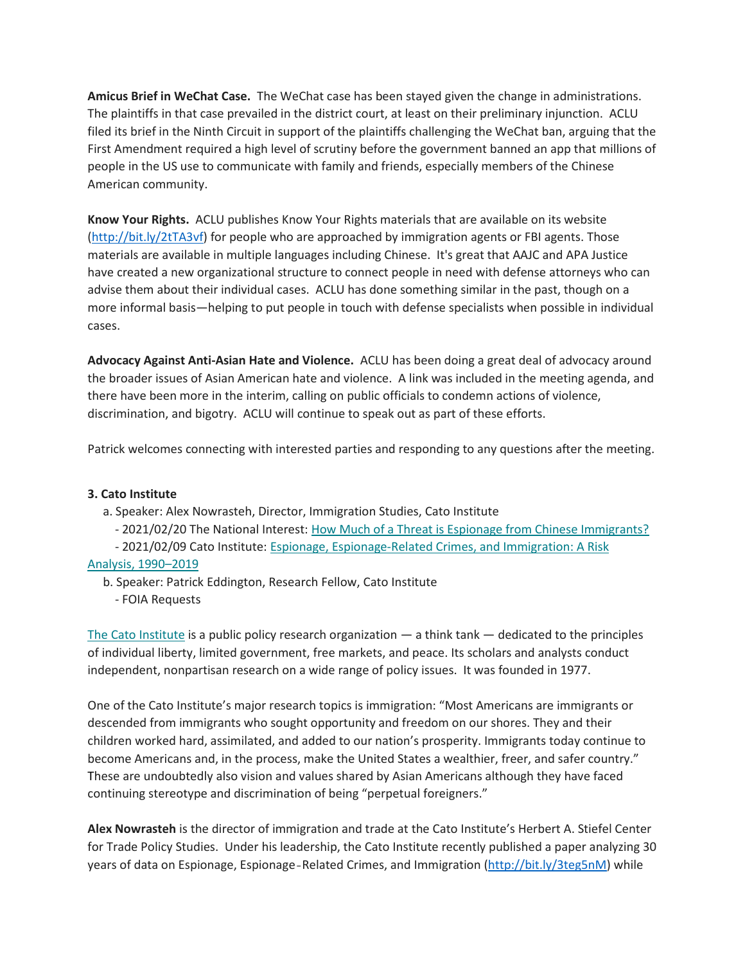**Amicus Brief in WeChat Case.** The WeChat case has been stayed given the change in administrations. The plaintiffs in that case prevailed in the district court, at least on their preliminary injunction. ACLU filed its brief in the Ninth Circuit in support of the plaintiffs challenging the WeChat ban, arguing that the First Amendment required a high level of scrutiny before the government banned an app that millions of people in the US use to communicate with family and friends, especially members of the Chinese American community.

**Know Your Rights.** ACLU publishes Know Your Rights materials that are available on its website [\(http://bit.ly/2tTA3vf\)](http://bit.ly/2tTA3vf) for people who are approached by immigration agents or FBI agents. Those materials are available in multiple languages including Chinese. It's great that AAJC and APA Justice have created a new organizational structure to connect people in need with defense attorneys who can advise them about their individual cases. ACLU has done something similar in the past, though on a more informal basis—helping to put people in touch with defense specialists when possible in individual cases.

**Advocacy Against Anti-Asian Hate and Violence.** ACLU has been doing a great deal of advocacy around the broader issues of Asian American hate and violence. A link was included in the meeting agenda, and there have been more in the interim, calling on public officials to condemn actions of violence, discrimination, and bigotry. ACLU will continue to speak out as part of these efforts.

Patrick welcomes connecting with interested parties and responding to any questions after the meeting.

#### **3. Cato Institute**

a. Speaker: Alex Nowrasteh, Director, Immigration Studies, Cato Institute

- 2021/02/20 The National Interest: [How Much of a Threat is Espionage from Chinese Immigrants?](http://bit.ly/37BXxFB)

- 2021/02/09 Cato Institute: Espionage, Espionage‐[Related Crimes, and Immigration: A Risk](http://bit.ly/3teg5nM) 

# [Analysis, 1990](http://bit.ly/3teg5nM)–2019

b. Speaker: Patrick Eddington, Research Fellow, Cato Institute

- FOIA Requests

The [Cato Institute](https://www.cato.org/) is a public policy research organization  $-$  a think tank  $-$  dedicated to the principles of individual liberty, limited government, free markets, and peace. Its scholars and analysts conduct independent, nonpartisan research on a wide range of policy issues. It was founded in 1977.

One of the Cato Institute's major research topics is immigration: "Most Americans are immigrants or descended from immigrants who sought opportunity and freedom on our shores. They and their children worked hard, assimilated, and added to our nation's prosperity. Immigrants today continue to become Americans and, in the process, make the United States a wealthier, freer, and safer country." These are undoubtedly also vision and values shared by Asian Americans although they have faced continuing stereotype and discrimination of being "perpetual foreigners."

**Alex Nowrasteh** is the director of immigration and trade at the Cato Institute's Herbert A. Stiefel Center for Trade Policy Studies. Under his leadership, the Cato Institute recently published a paper analyzing 30 years of data on Espionage, Espionage‐Related Crimes, and Immigration [\(http://bit.ly/3teg5nM\)](http://bit.ly/3teg5nM) while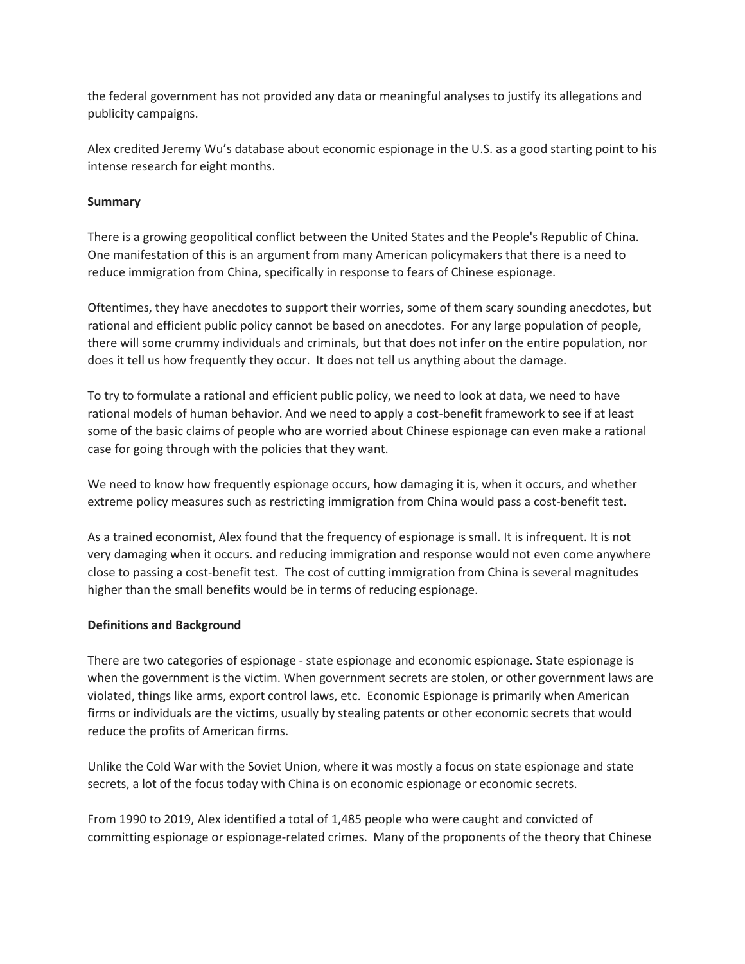the federal government has not provided any data or meaningful analyses to justify its allegations and publicity campaigns.

Alex credited Jeremy Wu's database about economic espionage in the U.S. as a good starting point to his intense research for eight months.

# **Summary**

There is a growing geopolitical conflict between the United States and the People's Republic of China. One manifestation of this is an argument from many American policymakers that there is a need to reduce immigration from China, specifically in response to fears of Chinese espionage.

Oftentimes, they have anecdotes to support their worries, some of them scary sounding anecdotes, but rational and efficient public policy cannot be based on anecdotes. For any large population of people, there will some crummy individuals and criminals, but that does not infer on the entire population, nor does it tell us how frequently they occur. It does not tell us anything about the damage.

To try to formulate a rational and efficient public policy, we need to look at data, we need to have rational models of human behavior. And we need to apply a cost-benefit framework to see if at least some of the basic claims of people who are worried about Chinese espionage can even make a rational case for going through with the policies that they want.

We need to know how frequently espionage occurs, how damaging it is, when it occurs, and whether extreme policy measures such as restricting immigration from China would pass a cost-benefit test.

As a trained economist, Alex found that the frequency of espionage is small. It is infrequent. It is not very damaging when it occurs. and reducing immigration and response would not even come anywhere close to passing a cost-benefit test. The cost of cutting immigration from China is several magnitudes higher than the small benefits would be in terms of reducing espionage.

#### **Definitions and Background**

There are two categories of espionage - state espionage and economic espionage. State espionage is when the government is the victim. When government secrets are stolen, or other government laws are violated, things like arms, export control laws, etc. Economic Espionage is primarily when American firms or individuals are the victims, usually by stealing patents or other economic secrets that would reduce the profits of American firms.

Unlike the Cold War with the Soviet Union, where it was mostly a focus on state espionage and state secrets, a lot of the focus today with China is on economic espionage or economic secrets.

From 1990 to 2019, Alex identified a total of 1,485 people who were caught and convicted of committing espionage or espionage-related crimes. Many of the proponents of the theory that Chinese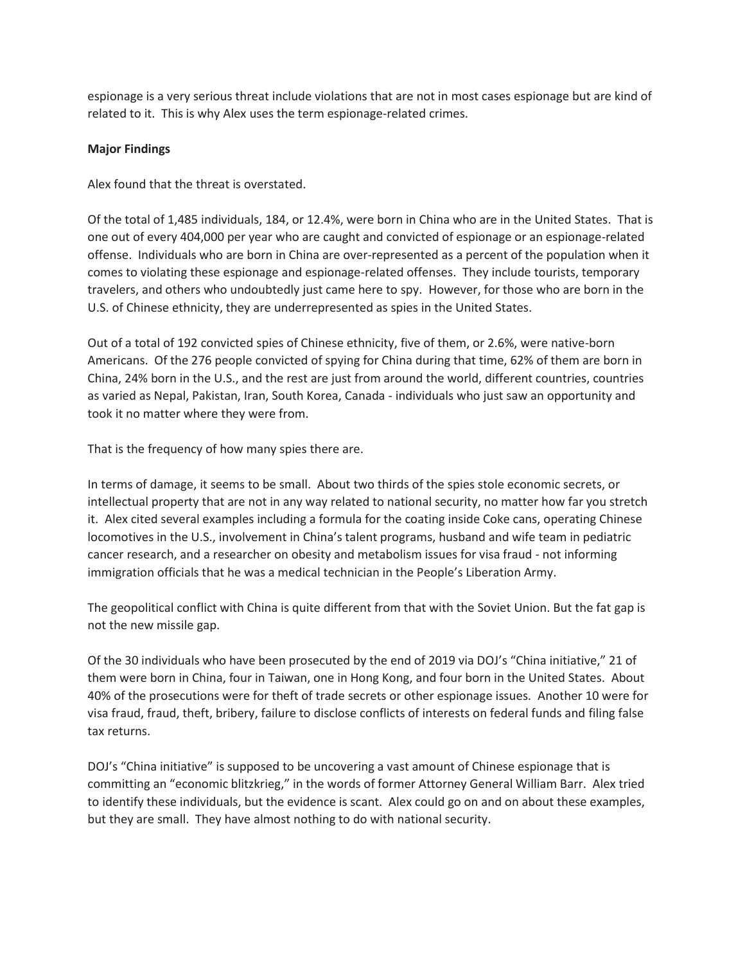espionage is a very serious threat include violations that are not in most cases espionage but are kind of related to it. This is why Alex uses the term espionage-related crimes.

# **Major Findings**

Alex found that the threat is overstated.

Of the total of 1,485 individuals, 184, or 12.4%, were born in China who are in the United States. That is one out of every 404,000 per year who are caught and convicted of espionage or an espionage-related offense. Individuals who are born in China are over-represented as a percent of the population when it comes to violating these espionage and espionage-related offenses. They include tourists, temporary travelers, and others who undoubtedly just came here to spy. However, for those who are born in the U.S. of Chinese ethnicity, they are underrepresented as spies in the United States.

Out of a total of 192 convicted spies of Chinese ethnicity, five of them, or 2.6%, were native-born Americans. Of the 276 people convicted of spying for China during that time, 62% of them are born in China, 24% born in the U.S., and the rest are just from around the world, different countries, countries as varied as Nepal, Pakistan, Iran, South Korea, Canada - individuals who just saw an opportunity and took it no matter where they were from.

That is the frequency of how many spies there are.

In terms of damage, it seems to be small. About two thirds of the spies stole economic secrets, or intellectual property that are not in any way related to national security, no matter how far you stretch it. Alex cited several examples including a formula for the coating inside Coke cans, operating Chinese locomotives in the U.S., involvement in China's talent programs, husband and wife team in pediatric cancer research, and a researcher on obesity and metabolism issues for visa fraud - not informing immigration officials that he was a medical technician in the People's Liberation Army.

The geopolitical conflict with China is quite different from that with the Soviet Union. But the fat gap is not the new missile gap.

Of the 30 individuals who have been prosecuted by the end of 2019 via DOJ's "China initiative," 21 of them were born in China, four in Taiwan, one in Hong Kong, and four born in the United States. About 40% of the prosecutions were for theft of trade secrets or other espionage issues. Another 10 were for visa fraud, fraud, theft, bribery, failure to disclose conflicts of interests on federal funds and filing false tax returns.

DOJ's "China initiative" is supposed to be uncovering a vast amount of Chinese espionage that is committing an "economic blitzkrieg," in the words of former Attorney General William Barr. Alex tried to identify these individuals, but the evidence is scant. Alex could go on and on about these examples, but they are small. They have almost nothing to do with national security.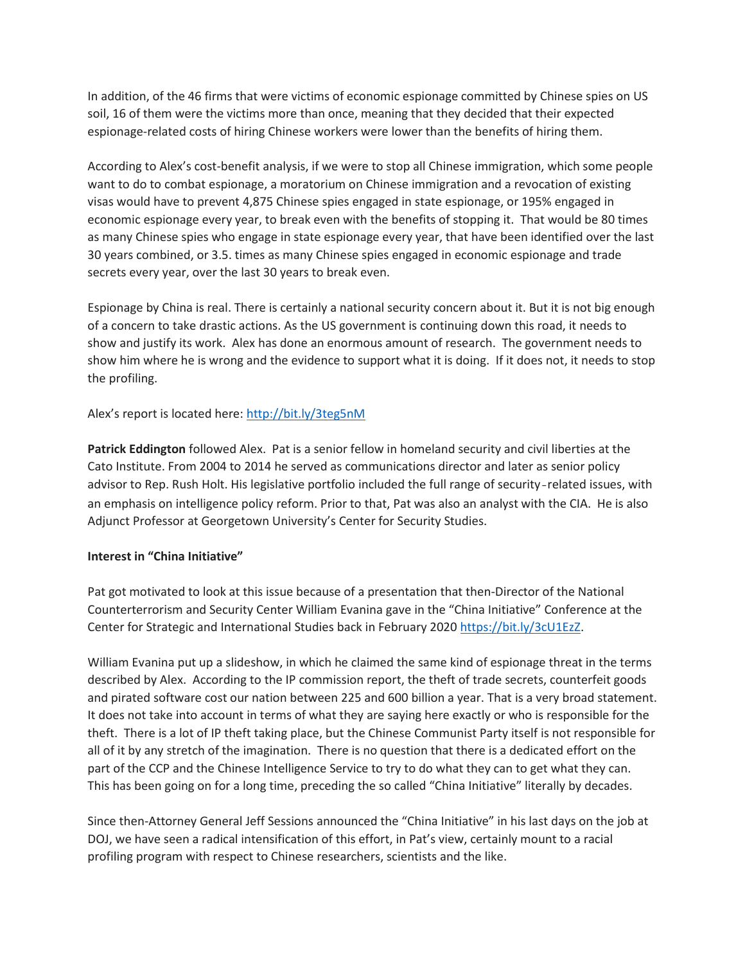In addition, of the 46 firms that were victims of economic espionage committed by Chinese spies on US soil, 16 of them were the victims more than once, meaning that they decided that their expected espionage-related costs of hiring Chinese workers were lower than the benefits of hiring them.

According to Alex's cost-benefit analysis, if we were to stop all Chinese immigration, which some people want to do to combat espionage, a moratorium on Chinese immigration and a revocation of existing visas would have to prevent 4,875 Chinese spies engaged in state espionage, or 195% engaged in economic espionage every year, to break even with the benefits of stopping it. That would be 80 times as many Chinese spies who engage in state espionage every year, that have been identified over the last 30 years combined, or 3.5. times as many Chinese spies engaged in economic espionage and trade secrets every year, over the last 30 years to break even.

Espionage by China is real. There is certainly a national security concern about it. But it is not big enough of a concern to take drastic actions. As the US government is continuing down this road, it needs to show and justify its work. Alex has done an enormous amount of research. The government needs to show him where he is wrong and the evidence to support what it is doing. If it does not, it needs to stop the profiling.

# Alex's report is located here: <http://bit.ly/3teg5nM>

**Patrick Eddington** followed Alex. Pat is a senior fellow in homeland security and civil liberties at the Cato Institute. From 2004 to 2014 he served as communications director and later as senior policy advisor to Rep. Rush Holt. His legislative portfolio included the full range of security-related issues, with an emphasis on intelligence policy reform. Prior to that, Pat was also an analyst with the CIA. He is also Adjunct Professor at Georgetown University's Center for Security Studies.

#### **Interest in "China Initiative"**

Pat got motivated to look at this issue because of a presentation that then-Director of the National Counterterrorism and Security Center William Evanina gave in the "China Initiative" Conference at the Center for Strategic and International Studies back in February 2020 [https://bit.ly/3cU1EzZ.](https://bit.ly/3cU1EzZ)

William Evanina put up a slideshow, in which he claimed the same kind of espionage threat in the terms described by Alex. According to the IP commission report, the theft of trade secrets, counterfeit goods and pirated software cost our nation between 225 and 600 billion a year. That is a very broad statement. It does not take into account in terms of what they are saying here exactly or who is responsible for the theft. There is a lot of IP theft taking place, but the Chinese Communist Party itself is not responsible for all of it by any stretch of the imagination. There is no question that there is a dedicated effort on the part of the CCP and the Chinese Intelligence Service to try to do what they can to get what they can. This has been going on for a long time, preceding the so called "China Initiative" literally by decades.

Since then-Attorney General Jeff Sessions announced the "China Initiative" in his last days on the job at DOJ, we have seen a radical intensification of this effort, in Pat's view, certainly mount to a racial profiling program with respect to Chinese researchers, scientists and the like.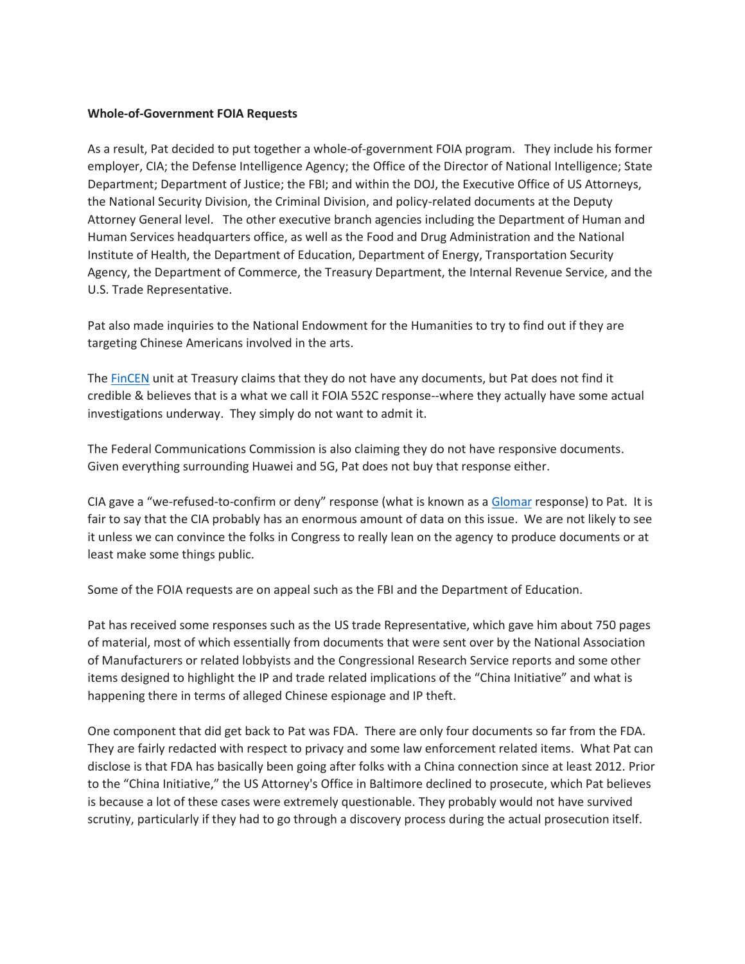#### **Whole-of-Government FOIA Requests**

As a result, Pat decided to put together a whole-of-government FOIA program. They include his former employer, CIA; the Defense Intelligence Agency; the Office of the Director of National Intelligence; State Department; Department of Justice; the FBI; and within the DOJ, the Executive Office of US Attorneys, the National Security Division, the Criminal Division, and policy-related documents at the Deputy Attorney General level. The other executive branch agencies including the Department of Human and Human Services headquarters office, as well as the Food and Drug Administration and the National Institute of Health, the Department of Education, Department of Energy, Transportation Security Agency, the Department of Commerce, the Treasury Department, the Internal Revenue Service, and the U.S. Trade Representative.

Pat also made inquiries to the National Endowment for the Humanities to try to find out if they are targeting Chinese Americans involved in the arts.

The [FinCEN](https://www.google.com/url?sa=t&rct=j&q=&esrc=s&source=web&cd=&cad=rja&uact=8&ved=2ahUKEwjDyJau0uzvAhUJKVkFHS75AloQFjAAegQIAhAE&url=https%3A%2F%2Fwww.fincen.gov%2F&usg=AOvVaw1np2hrB4J_0yR1sUp_b2TM) unit at Treasury claims that they do not have any documents, but Pat does not find it credible & believes that is a what we call it FOIA 552C response--where they actually have some actual investigations underway. They simply do not want to admit it.

The Federal Communications Commission is also claiming they do not have responsive documents. Given everything surrounding Huawei and 5G, Pat does not buy that response either.

CIA gave a "we-refused-to-confirm or deny" response (what is known as a [Glomar](https://foia.wiki/wiki/Glomar) response) to Pat. It is fair to say that the CIA probably has an enormous amount of data on this issue. We are not likely to see it unless we can convince the folks in Congress to really lean on the agency to produce documents or at least make some things public.

Some of the FOIA requests are on appeal such as the FBI and the Department of Education.

Pat has received some responses such as the US trade Representative, which gave him about 750 pages of material, most of which essentially from documents that were sent over by the National Association of Manufacturers or related lobbyists and the Congressional Research Service reports and some other items designed to highlight the IP and trade related implications of the "China Initiative" and what is happening there in terms of alleged Chinese espionage and IP theft.

One component that did get back to Pat was FDA. There are only four documents so far from the FDA. They are fairly redacted with respect to privacy and some law enforcement related items. What Pat can disclose is that FDA has basically been going after folks with a China connection since at least 2012. Prior to the "China Initiative," the US Attorney's Office in Baltimore declined to prosecute, which Pat believes is because a lot of these cases were extremely questionable. They probably would not have survived scrutiny, particularly if they had to go through a discovery process during the actual prosecution itself.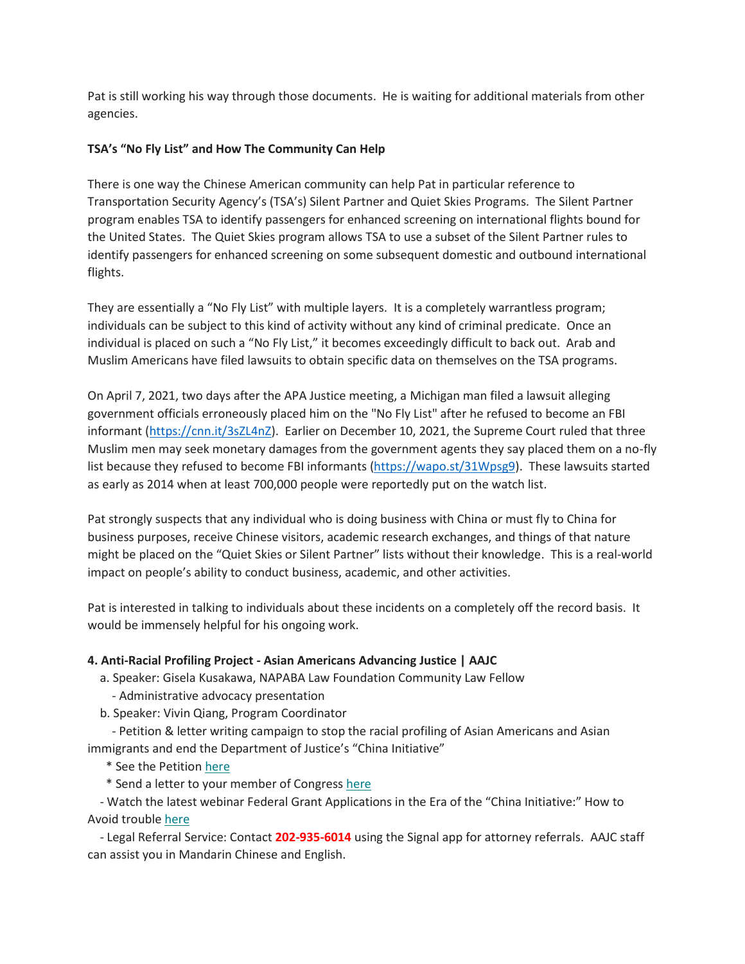Pat is still working his way through those documents. He is waiting for additional materials from other agencies.

# **TSA's "No Fly List" and How The Community Can Help**

There is one way the Chinese American community can help Pat in particular reference to Transportation Security Agency's (TSA's) Silent Partner and Quiet Skies Programs. The Silent Partner program enables TSA to identify passengers for enhanced screening on international flights bound for the United States. The Quiet Skies program allows TSA to use a subset of the Silent Partner rules to identify passengers for enhanced screening on some subsequent domestic and outbound international flights.

They are essentially a "No Fly List" with multiple layers. It is a completely warrantless program; individuals can be subject to this kind of activity without any kind of criminal predicate. Once an individual is placed on such a "No Fly List," it becomes exceedingly difficult to back out. Arab and Muslim Americans have filed lawsuits to obtain specific data on themselves on the TSA programs.

On April 7, 2021, two days after the APA Justice meeting, a Michigan man filed a lawsuit alleging government officials erroneously placed him on the "No Fly List" after he refused to become an FBI informant [\(https://cnn.it/3sZL4nZ\)](https://cnn.it/3sZL4nZ). Earlier on December 10, 2021, the Supreme Court ruled that three Muslim men may seek monetary damages from the government agents they say placed them on a no-fly list because they refused to become FBI informants [\(https://wapo.st/31Wpsg9\)](https://wapo.st/31Wpsg9). These lawsuits started as early as 2014 when at least 700,000 people were reportedly put on the watch list.

Pat strongly suspects that any individual who is doing business with China or must fly to China for business purposes, receive Chinese visitors, academic research exchanges, and things of that nature might be placed on the "Quiet Skies or Silent Partner" lists without their knowledge. This is a real-world impact on people's ability to conduct business, academic, and other activities.

Pat is interested in talking to individuals about these incidents on a completely off the record basis. It would be immensely helpful for his ongoing work.

# **4. Anti-Racial Profiling Project - Asian Americans Advancing Justice | AAJC**

a. Speaker: Gisela Kusakawa, NAPABA Law Foundation Community Law Fellow

- Administrative advocacy presentation
- b. Speaker: Vivin Qiang, Program Coordinator

- Petition & letter writing campaign to stop the racial profiling of Asian Americans and Asian immigrants and end the Department of Justice's "China Initiative"

- \* See the Petition [here](http://bit.ly/EndChinaInitiative)
- \* Send a letter to your member of Congress [here](http://bit.ly/EndChinaInitiative-Letter%C2%A0)

- Watch the latest webinar Federal Grant Applications in the Era of the "China Initiative:" How to Avoid trouble [here](https://www.youtube.com/watch?v=061jjNbN6lM)

- Legal Referral Service: Contact **202-935-6014** using the Signal app for attorney referrals. AAJC staff can assist you in Mandarin Chinese and English.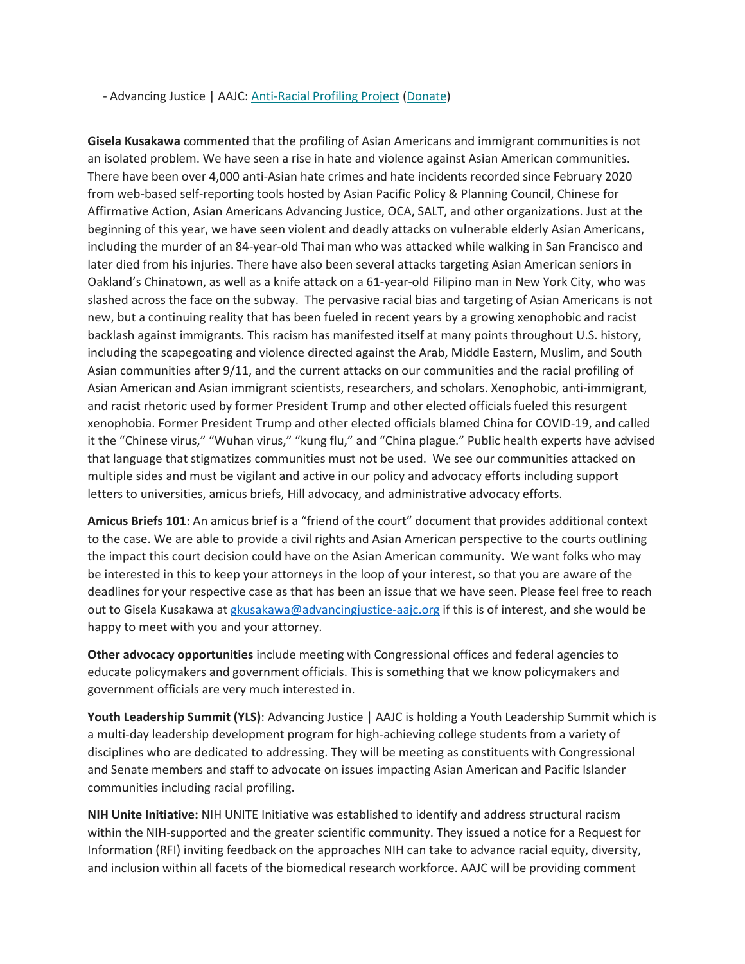- Advancing Justice | AAJC: [Anti-Racial Profiling Project](https://bit.ly/36TA8Aa) [\(Donate\)](https://bit.ly/3iIQVbe)

**Gisela Kusakawa** commented that the profiling of Asian Americans and immigrant communities is not an isolated problem. We have seen a rise in hate and violence against Asian American communities. There have been over 4,000 anti-Asian hate crimes and hate incidents recorded since February 2020 from web-based self-reporting tools hosted by Asian Pacific Policy & Planning Council, Chinese for Affirmative Action, Asian Americans Advancing Justice, OCA, SALT, and other organizations. Just at the beginning of this year, we have seen violent and deadly attacks on vulnerable elderly Asian Americans, including the murder of an 84-year-old Thai man who was attacked while walking in San Francisco and later died from his injuries. There have also been several attacks targeting Asian American seniors in Oakland's Chinatown, as well as a knife attack on a 61-year-old Filipino man in New York City, who was slashed across the face on the subway. The pervasive racial bias and targeting of Asian Americans is not new, but a continuing reality that has been fueled in recent years by a growing xenophobic and racist backlash against immigrants. This racism has manifested itself at many points throughout U.S. history, including the scapegoating and violence directed against the Arab, Middle Eastern, Muslim, and South Asian communities after 9/11, and the current attacks on our communities and the racial profiling of Asian American and Asian immigrant scientists, researchers, and scholars. Xenophobic, anti-immigrant, and racist rhetoric used by former President Trump and other elected officials fueled this resurgent xenophobia. Former President Trump and other elected officials blamed China for COVID-19, and called it the "Chinese virus," "Wuhan virus," "kung flu," and "China plague." Public health experts have advised that language that stigmatizes communities must not be used. We see our communities attacked on multiple sides and must be vigilant and active in our policy and advocacy efforts including support letters to universities, amicus briefs, Hill advocacy, and administrative advocacy efforts.

**Amicus Briefs 101**: An amicus brief is a "friend of the court" document that provides additional context to the case. We are able to provide a civil rights and Asian American perspective to the courts outlining the impact this court decision could have on the Asian American community. We want folks who may be interested in this to keep your attorneys in the loop of your interest, so that you are aware of the deadlines for your respective case as that has been an issue that we have seen. Please feel free to reach out to Gisela Kusakawa a[t gkusakawa@advancingjustice-aajc.org](mailto:gkusakawa@advancingjustice-aajc.org) if this is of interest, and she would be happy to meet with you and your attorney.

**Other advocacy opportunities** include meeting with Congressional offices and federal agencies to educate policymakers and government officials. This is something that we know policymakers and government officials are very much interested in.

**Youth Leadership Summit (YLS)**: Advancing Justice | AAJC is holding a Youth Leadership Summit which is a multi-day leadership development program for high-achieving college students from a variety of disciplines who are dedicated to addressing. They will be meeting as constituents with Congressional and Senate members and staff to advocate on issues impacting Asian American and Pacific Islander communities including racial profiling.

**NIH Unite Initiative:** NIH UNITE Initiative was established to identify and address structural racism within the NIH-supported and the greater scientific community. They issued a notice for a Request for Information (RFI) inviting feedback on the approaches NIH can take to advance racial equity, diversity, and inclusion within all facets of the biomedical research workforce. AAJC will be providing comment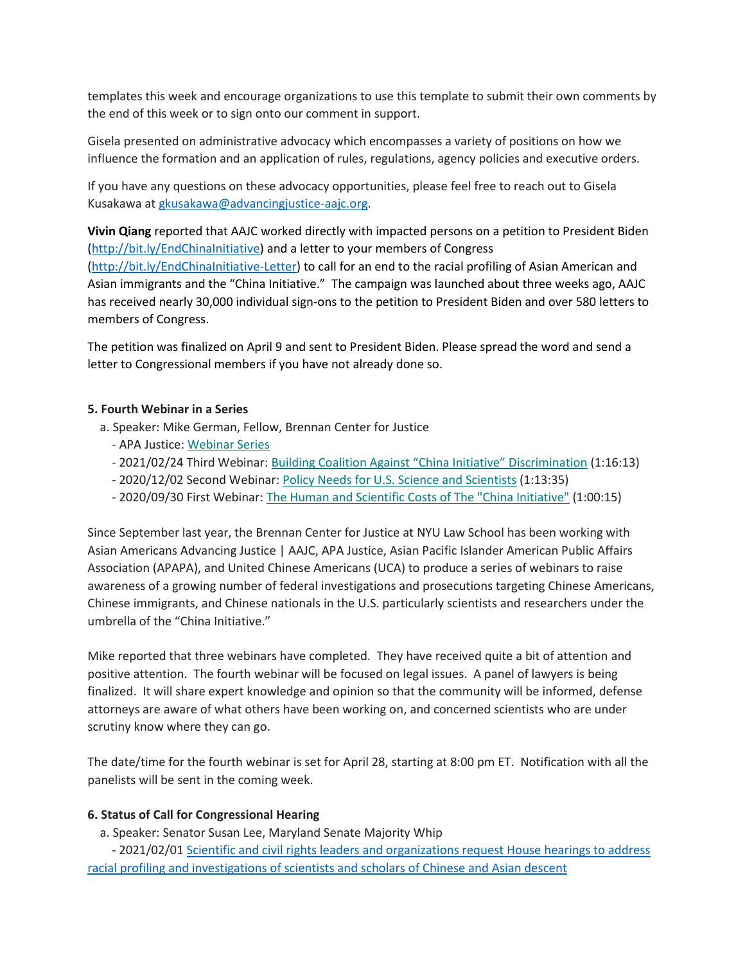templates this week and encourage organizations to use this template to submit their own comments by the end of this week or to sign onto our comment in support.

Gisela presented on administrative advocacy which encompasses a variety of positions on how we influence the formation and an application of rules, regulations, agency policies and executive orders.

If you have any questions on these advocacy opportunities, please feel free to reach out to Gisela Kusakawa a[t gkusakawa@advancingjustice-aajc.org.](mailto:gkusakawa@advancingjustice-aajc.org)

**Vivin Qiang** reported that AAJC worked directly with impacted persons on a petition to President Biden [\(http://bit.ly/EndChinaInitiative\)](http://bit.ly/EndChinaInitiative) and a letter to your members of Congress [\(http://bit.ly/EndChinaInitiative-Letter\)](http://bit.ly/EndChinaInitiative-Letter) to call for an end to the racial profiling of Asian American and Asian immigrants and the "China Initiative." The campaign was launched about three weeks ago, AAJC has received nearly 30,000 individual sign-ons to the petition to President Biden and over 580 letters to members of Congress.

The petition was finalized on April 9 and sent to President Biden. Please spread the word and send a letter to Congressional members if you have not already done so.

# **5. Fourth Webinar in a Series**

- a. Speaker: Mike German, Fellow, Brennan Center for Justice
	- APA Justice: [Webinar Series](https://bit.ly/APAJ_Webinar_Series)
	- 2021/02/24 Third Webinar: [Building Coalition Against "China Initiative" Discrimination](https://bit.ly/3r3I2Om) (1:16:13)
	- 2020/12/02 Second Webinar: [Policy Needs for U.S. Science and Scientists](https://bit.ly/3qsxFDW) (1:13:35)
	- 2020/09/30 First Webinar: [The Human and Scientific Costs of The "China Initiative"](https://bit.ly/3kFFOS2) (1:00:15)

Since September last year, the Brennan Center for Justice at NYU Law School has been working with Asian Americans Advancing Justice | AAJC, APA Justice, Asian Pacific Islander American Public Affairs Association (APAPA), and United Chinese Americans (UCA) to produce a series of webinars to raise awareness of a growing number of federal investigations and prosecutions targeting Chinese Americans, Chinese immigrants, and Chinese nationals in the U.S. particularly scientists and researchers under the umbrella of the "China Initiative."

Mike reported that three webinars have completed. They have received quite a bit of attention and positive attention. The fourth webinar will be focused on legal issues. A panel of lawyers is being finalized. It will share expert knowledge and opinion so that the community will be informed, defense attorneys are aware of what others have been working on, and concerned scientists who are under scrutiny know where they can go.

The date/time for the fourth webinar is set for April 28, starting at 8:00 pm ET. Notification with all the panelists will be sent in the coming week.

#### **6. Status of Call for Congressional Hearing**

a. Speaker: Senator Susan Lee, Maryland Senate Majority Whip

- 2021/02/01 [Scientific and civil rights leaders and organizations request House hearings to address](https://bit.ly/3jaatHd)  [racial profiling and investigations of scientists and scholars of Chinese and Asian descent](https://bit.ly/3jaatHd)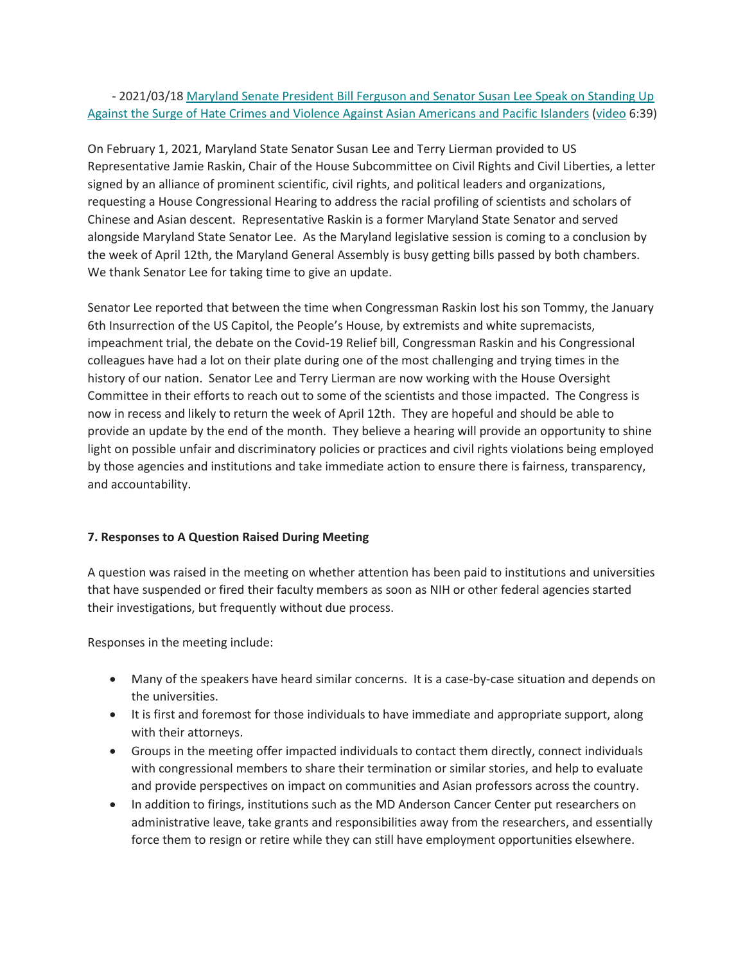# - 2021/03/18 [Maryland Senate President Bill Ferguson and Senator Susan Lee Speak on Standing Up](https://www.apajustice.org/uploads/1/1/5/7/115708039/pressreleasemarch18.2021apdf.pdf)  Against the [Surge of Hate Crimes and Violence Against Asian Americans and Pacific Islanders](https://www.apajustice.org/uploads/1/1/5/7/115708039/pressreleasemarch18.2021apdf.pdf) [\(video](https://bit.ly/3cNH0jI) 6:39)

On February 1, 2021, Maryland State Senator Susan Lee and Terry Lierman provided to US Representative Jamie Raskin, Chair of the House Subcommittee on Civil Rights and Civil Liberties, a letter signed by an alliance of prominent scientific, civil rights, and political leaders and organizations, requesting a House Congressional Hearing to address the racial profiling of scientists and scholars of Chinese and Asian descent. Representative Raskin is a former Maryland State Senator and served alongside Maryland State Senator Lee. As the Maryland legislative session is coming to a conclusion by the week of April 12th, the Maryland General Assembly is busy getting bills passed by both chambers. We thank Senator Lee for taking time to give an update.

Senator Lee reported that between the time when Congressman Raskin lost his son Tommy, the January 6th Insurrection of the US Capitol, the People's House, by extremists and white supremacists, impeachment trial, the debate on the Covid-19 Relief bill, Congressman Raskin and his Congressional colleagues have had a lot on their plate during one of the most challenging and trying times in the history of our nation. Senator Lee and Terry Lierman are now working with the House Oversight Committee in their efforts to reach out to some of the scientists and those impacted. The Congress is now in recess and likely to return the week of April 12th. They are hopeful and should be able to provide an update by the end of the month. They believe a hearing will provide an opportunity to shine light on possible unfair and discriminatory policies or practices and civil rights violations being employed by those agencies and institutions and take immediate action to ensure there is fairness, transparency, and accountability.

# **7. Responses to A Question Raised During Meeting**

A question was raised in the meeting on whether attention has been paid to institutions and universities that have suspended or fired their faculty members as soon as NIH or other federal agencies started their investigations, but frequently without due process.

Responses in the meeting include:

- Many of the speakers have heard similar concerns. It is a case-by-case situation and depends on the universities.
- It is first and foremost for those individuals to have immediate and appropriate support, along with their attorneys.
- Groups in the meeting offer impacted individuals to contact them directly, connect individuals with congressional members to share their termination or similar stories, and help to evaluate and provide perspectives on impact on communities and Asian professors across the country.
- In addition to firings, institutions such as the MD Anderson Cancer Center put researchers on administrative leave, take grants and responsibilities away from the researchers, and essentially force them to resign or retire while they can still have employment opportunities elsewhere.